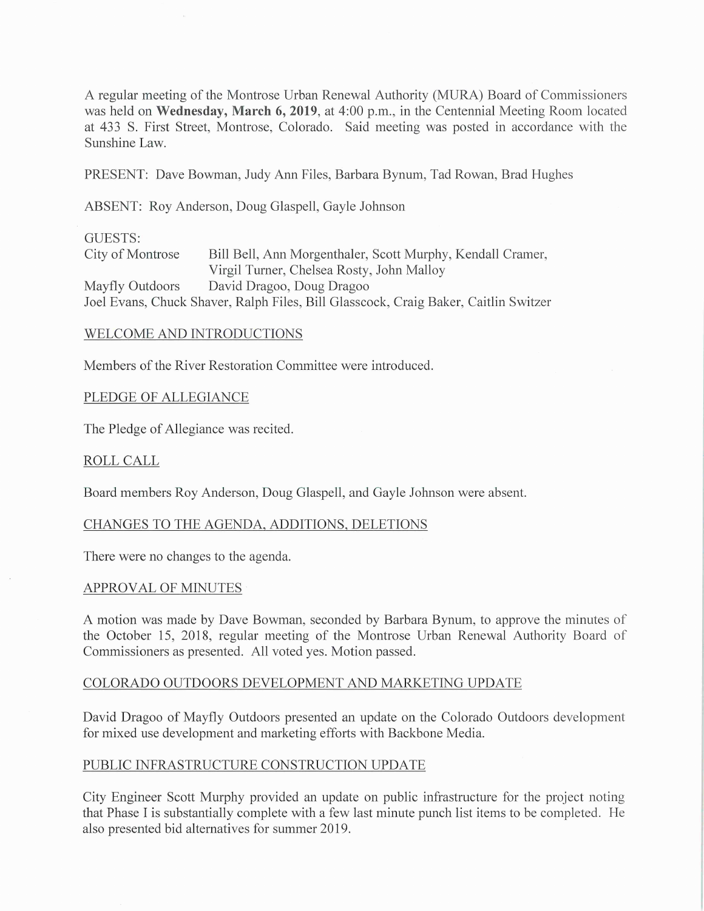A regular meeting of the Montrose Urban Renewal Authority (MURA) Board of Commissioners was held on Wednesday, March 6, 2019, at 4:00 p.m., in the Centennial Meeting Room located at 433 S. First Street, Montrose, Colorado. Said meeting was posted in accordance with the Sunshine Law.

PRESENT: Dave Bowman, Judy Ann Files, Barbara Bynum, Tad Rowan, Brad Hughes

ABSENT: Roy Anderson, Doug Glaspell, Gayle Johnson

### GUESTS:

City of Montrose Bill Bell, Ann Morgenthaler, Scott Murphy, Kendall Cramer, Virgil Turner, Chelsea Rosty, John Malloy Mayfly Outdoors David Dragoo, Doug Dragoo Joel Evans, Chuck Shaver, Ralph Files, Bill Glasscock, Craig Baker, Caitlin Switzer

### WELCOME AND INTRODUCTIONS

Members of the River Restoration Committee were introduced.

## PLEDGE OF ALLEGIANCE

The Pledge of Allegiance was recited.

# ROLL CALL

Board members Roy Anderson, Doug Glaspell, and Gayle Johnson were absent.

### CHANGES TO THE AGENDA, ADDITIONS, DELETIONS

There were no changes to the agenda.

### APPROVAL OF MINUTES

A motion was made by Dave Bowman, seconded by Barbara Bynum, to approve the minutes of the October 15, 2018, regular meeting of the Montrose Urban Renewal Authority Board of Commissioners as presented. All voted yes. Motion passed.

## COLORADO OUTDOORS DEVELOPMENT AND MARKETING UPDATE

David Dragoo of Mayfly Outdoors presented an update on the Colorado Outdoors development for mixed use development and marketing efforts with Backbone Media.

### PUBLIC INFRASTRUCTURE CONSTRUCTION UPDATE

City Engineer Scott Murphy provided an update on public infrastructure for the project noting that Phase I is substantially complete with a few last minute punch list items to be completed. He also presented bid alternatives for summer 2019.